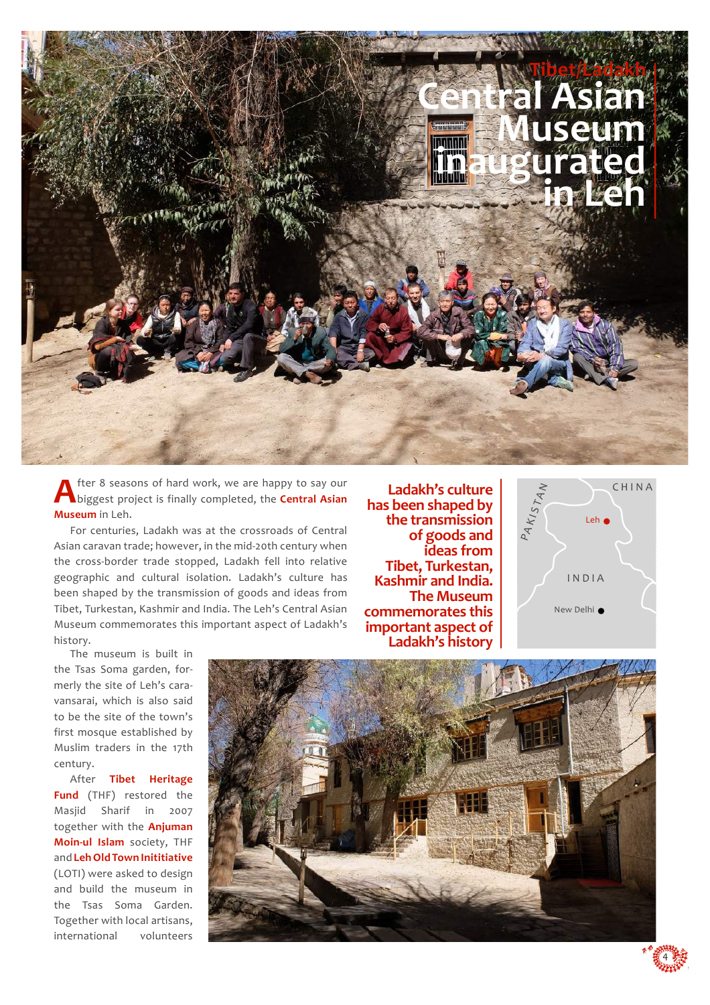

fter 8 seasons of hard work, we are happy to say our biggest project is finally completed, the **Central Asian Museum** in Leh.

For centuries, Ladakh was at the crossroads of Central Asian caravan trade; however, in the mid-20th century when the cross-border trade stopped, Ladakh fell into relative geographic and cultural isolation. Ladakh's culture has been shaped by the transmission of goods and ideas from Tibet, Turkestan, Kashmir and India. The Leh's Central Asian Museum commemorates this important aspect of Ladakh's history.

**Ladakh's culture has been shaped by the transmission of goods and ideas from Tibet, Turkestan, Kashmir and India. The Museum commemorates this important aspect of** 



The museum is built in the Tsas Soma garden, formerly the site of Leh's caravansarai, which is also said to be the site of the town's first mosque established by Muslim traders in the 17th century.

After **Tibet Heritage Fund** (THF) restored the Masjid Sharif in 2007 together with the **Anjuman Moin-ul Islam** society, THF and **Leh Old Town Inititiative**  (LOTI) were asked to design and build the museum in the Tsas Soma Garden. Together with local artisans, international volunteers



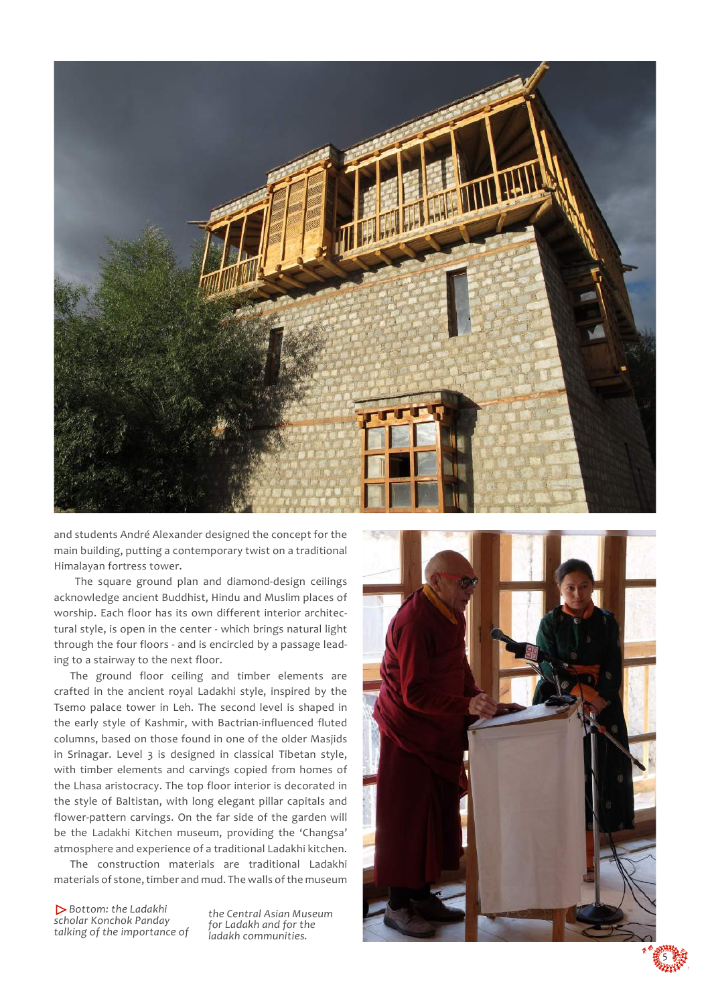

and students André Alexander designed the concept for the main building, putting a contemporary twist on a traditional Himalayan fortress tower.

The square ground plan and diamond-design ceilings acknowledge ancient Buddhist, Hindu and Muslim places of worship. Each floor has its own different interior architectural style, is open in the center - which brings natural light through the four floors - and is encircled by a passage leading to a stairway to the next floor.

The ground floor ceiling and timber elements are crafted in the ancient royal Ladakhi style, inspired by the Tsemo palace tower in Leh. The second level is shaped in the early style of Kashmir, with Bactrian-influenced fluted columns, based on those found in one of the older Masjids in Srinagar. Level 3 is designed in classical Tibetan style, with timber elements and carvings copied from homes of the Lhasa aristocracy. The top floor interior is decorated in the style of Baltistan, with long elegant pillar capitals and flower-pattern carvings. On the far side of the garden will be the Ladakhi Kitchen museum, providing the 'Changsa' atmosphere and experience of a traditional Ladakhi kitchen.

The construction materials are traditional Ladakhi materials of stone, timber and mud. The walls of the museum

 *Bottom: the Ladakhi scholar Konchok Panday talking of the importance of* 

*the Central Asian Museum for Ladakh and for the ladakh communities.*